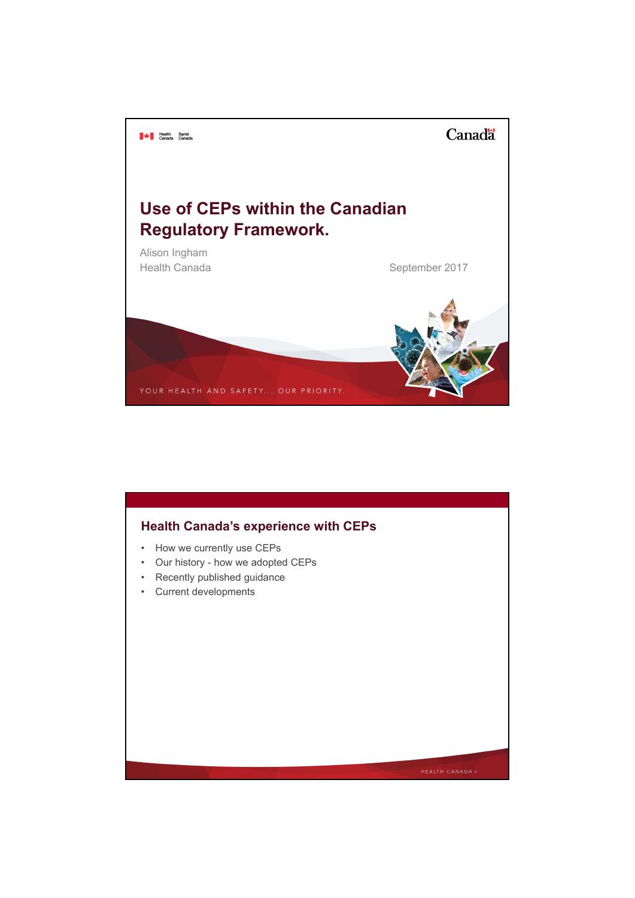

# • How we currently use CEPs • Our history - how we adopted CEPs • Recently published guidance • Current developments **Health Canada's experience with CEPs**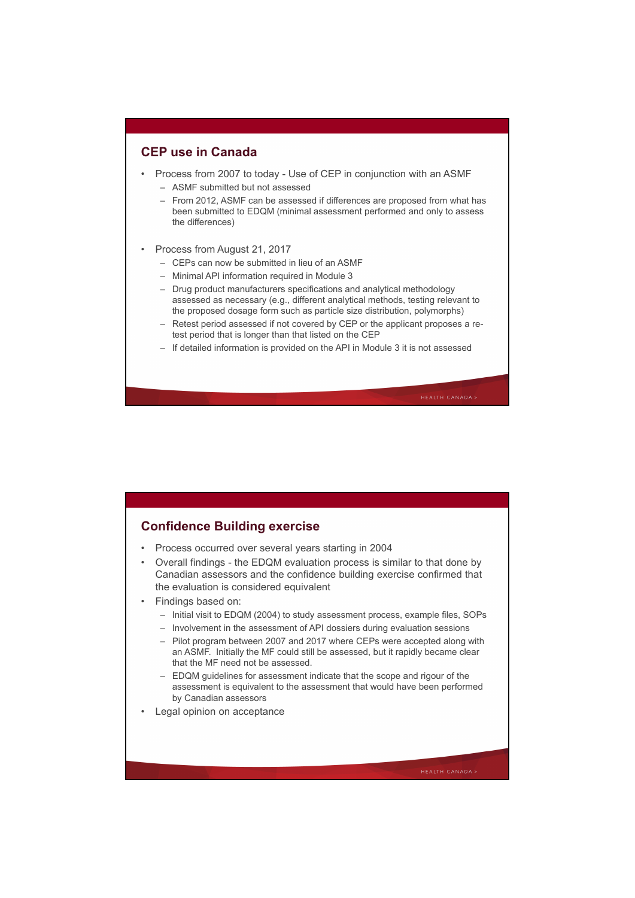# **CEP use in Canada**

- Process from 2007 to today Use of CEP in conjunction with an ASMF
	- ASMF submitted but not assessed
	- From 2012, ASMF can be assessed if differences are proposed from what has been submitted to EDQM (minimal assessment performed and only to assess the differences)
- Process from August 21, 2017
	- CEPs can now be submitted in lieu of an ASMF
	- Minimal API information required in Module 3
	- Drug product manufacturers specifications and analytical methodology assessed as necessary (e.g., different analytical methods, testing relevant to the proposed dosage form such as particle size distribution, polymorphs)
	- Retest period assessed if not covered by CEP or the applicant proposes a retest period that is longer than that listed on the CEP
	- If detailed information is provided on the API in Module 3 it is not assessed

# **Confidence Building exercise**

- Process occurred over several years starting in 2004
- Overall findings the EDQM evaluation process is similar to that done by Canadian assessors and the confidence building exercise confirmed that the evaluation is considered equivalent
- Findings based on:
	- Initial visit to EDQM (2004) to study assessment process, example files, SOPs
	- Involvement in the assessment of API dossiers during evaluation sessions
	- Pilot program between 2007 and 2017 where CEPs were accepted along with an ASMF. Initially the MF could still be assessed, but it rapidly became clear that the MF need not be assessed.
	- EDQM guidelines for assessment indicate that the scope and rigour of the assessment is equivalent to the assessment that would have been performed by Canadian assessors
- Legal opinion on acceptance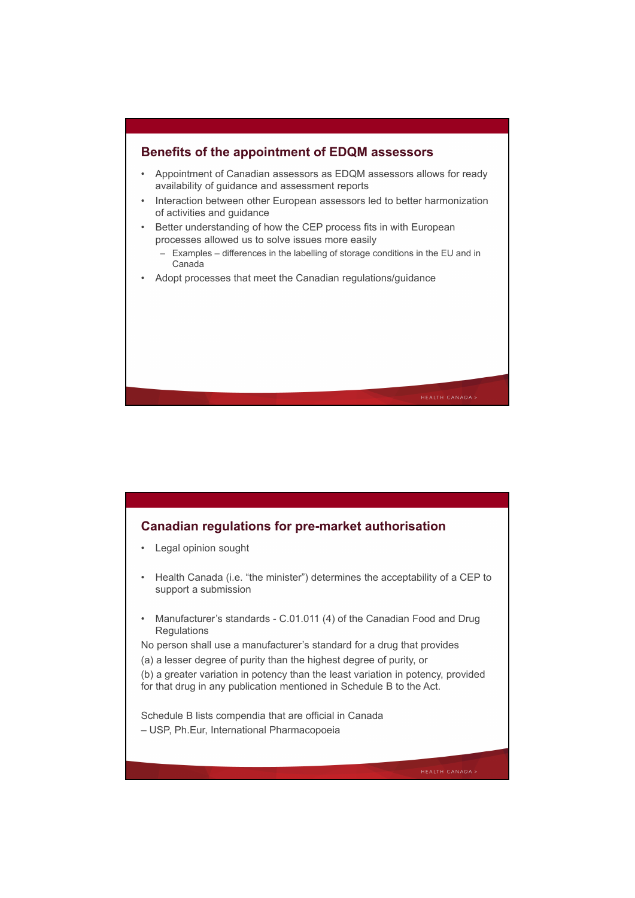

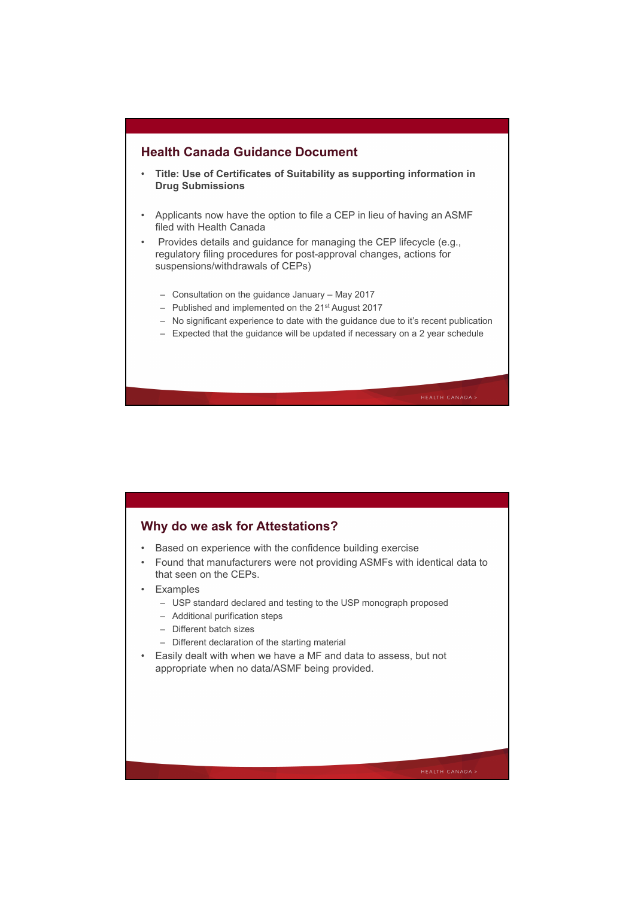# **Health Canada Guidance Document**

- **Title: Use of Certificates of Suitability as supporting information in Drug Submissions**
- Applicants now have the option to file a CEP in lieu of having an ASMF filed with Health Canada

• Provides details and guidance for managing the CEP lifecycle (e.g., regulatory filing procedures for post-approval changes, actions for suspensions/withdrawals of CEPs)

- Consultation on the guidance January May 2017
- Published and implemented on the 21st August 2017
- No significant experience to date with the guidance due to it's recent publication
- Expected that the guidance will be updated if necessary on a 2 year schedule

# **Why do we ask for Attestations?**

- Based on experience with the confidence building exercise
- Found that manufacturers were not providing ASMFs with identical data to that seen on the CEPs.
- Examples
	- USP standard declared and testing to the USP monograph proposed
	- Additional purification steps
	- Different batch sizes
	- Different declaration of the starting material
- Easily dealt with when we have a MF and data to assess, but not appropriate when no data/ASMF being provided.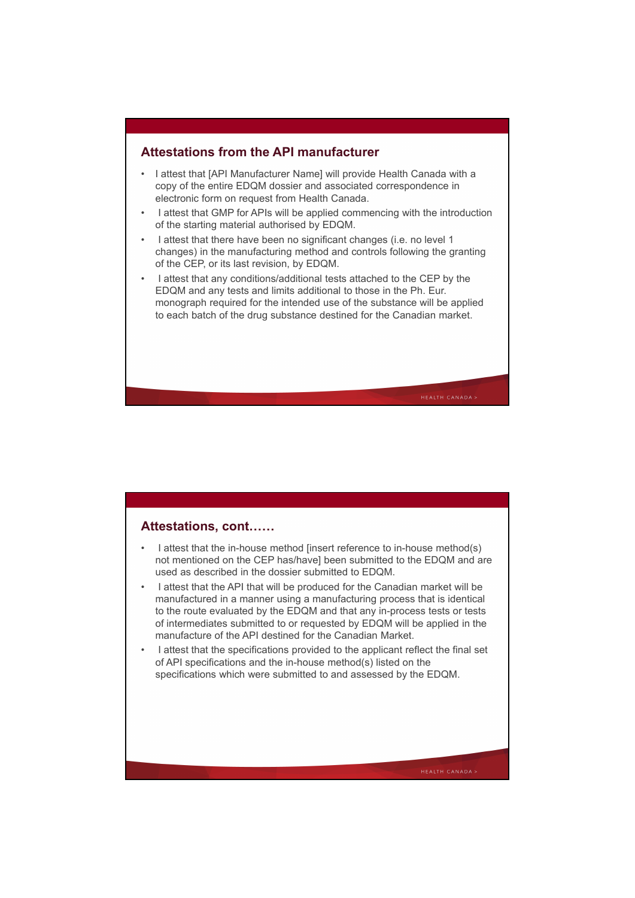# **Attestations from the API manufacturer**

- I attest that [API Manufacturer Name] will provide Health Canada with a copy of the entire EDQM dossier and associated correspondence in electronic form on request from Health Canada.
- I attest that GMP for APIs will be applied commencing with the introduction of the starting material authorised by EDQM.
- I attest that there have been no significant changes (i.e. no level 1 changes) in the manufacturing method and controls following the granting of the CEP, or its last revision, by EDQM.
- I attest that any conditions/additional tests attached to the CEP by the EDQM and any tests and limits additional to those in the Ph. Eur. monograph required for the intended use of the substance will be applied to each batch of the drug substance destined for the Canadian market.

# **Attestations, cont……**

- I attest that the in-house method [insert reference to in-house method(s) not mentioned on the CEP has/have] been submitted to the EDQM and are used as described in the dossier submitted to EDQM.
- I attest that the API that will be produced for the Canadian market will be manufactured in a manner using a manufacturing process that is identical to the route evaluated by the EDQM and that any in-process tests or tests of intermediates submitted to or requested by EDQM will be applied in the manufacture of the API destined for the Canadian Market.
- I attest that the specifications provided to the applicant reflect the final set of API specifications and the in-house method(s) listed on the specifications which were submitted to and assessed by the EDQM.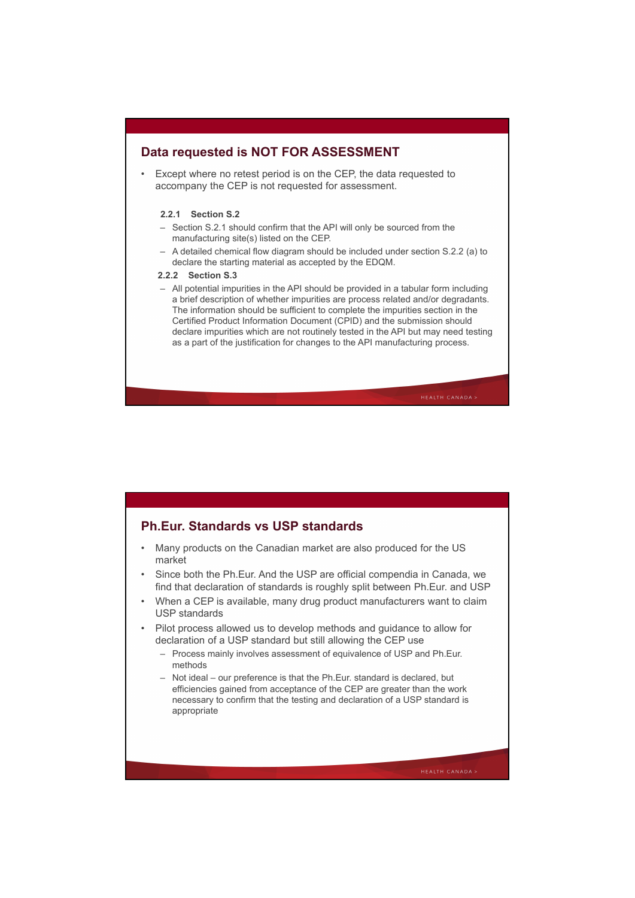# **Data requested is NOT FOR ASSESSMENT**

• Except where no retest period is on the CEP, the data requested to accompany the CEP is not requested for assessment.

## **2.2.1 Section S.2**

- Section S.2.1 should confirm that the API will only be sourced from the manufacturing site(s) listed on the CEP.
- A detailed chemical flow diagram should be included under section S.2.2 (a) to declare the starting material as accepted by the EDQM.
- **2.2.2 Section S.3**
- All potential impurities in the API should be provided in a tabular form including a brief description of whether impurities are process related and/or degradants. The information should be sufficient to complete the impurities section in the Certified Product Information Document (CPID) and the submission should declare impurities which are not routinely tested in the API but may need testing as a part of the justification for changes to the API manufacturing process.

# **Ph.Eur. Standards vs USP standards**

- Many products on the Canadian market are also produced for the US market
- Since both the Ph.Eur. And the USP are official compendia in Canada, we find that declaration of standards is roughly split between Ph.Eur. and USP
- When a CEP is available, many drug product manufacturers want to claim USP standards
- Pilot process allowed us to develop methods and guidance to allow for declaration of a USP standard but still allowing the CEP use
	- Process mainly involves assessment of equivalence of USP and Ph.Eur. methods
	- Not ideal our preference is that the Ph.Eur. standard is declared, but efficiencies gained from acceptance of the CEP are greater than the work necessary to confirm that the testing and declaration of a USP standard is appropriate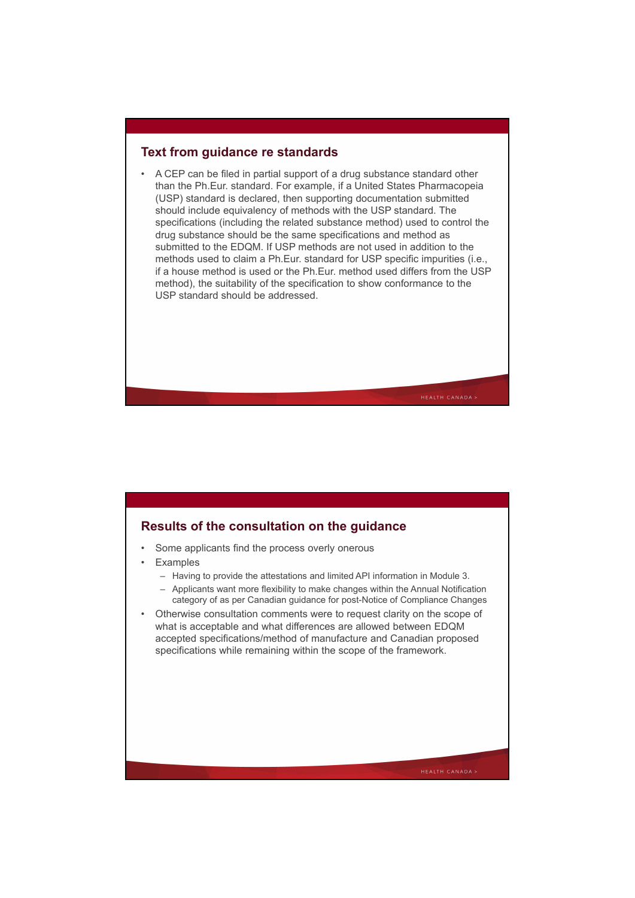# **Text from guidance re standards**

• A CEP can be filed in partial support of a drug substance standard other than the Ph.Eur. standard. For example, if a United States Pharmacopeia (USP) standard is declared, then supporting documentation submitted should include equivalency of methods with the USP standard. The specifications (including the related substance method) used to control the drug substance should be the same specifications and method as submitted to the EDQM. If USP methods are not used in addition to the methods used to claim a Ph.Eur. standard for USP specific impurities (i.e., if a house method is used or the Ph.Eur. method used differs from the USP method), the suitability of the specification to show conformance to the USP standard should be addressed.

# **Results of the consultation on the guidance**

- Some applicants find the process overly onerous
- **Examples** 
	- Having to provide the attestations and limited API information in Module 3.
	- Applicants want more flexibility to make changes within the Annual Notification category of as per Canadian guidance for post-Notice of Compliance Changes
- Otherwise consultation comments were to request clarity on the scope of what is acceptable and what differences are allowed between EDQM accepted specifications/method of manufacture and Canadian proposed specifications while remaining within the scope of the framework.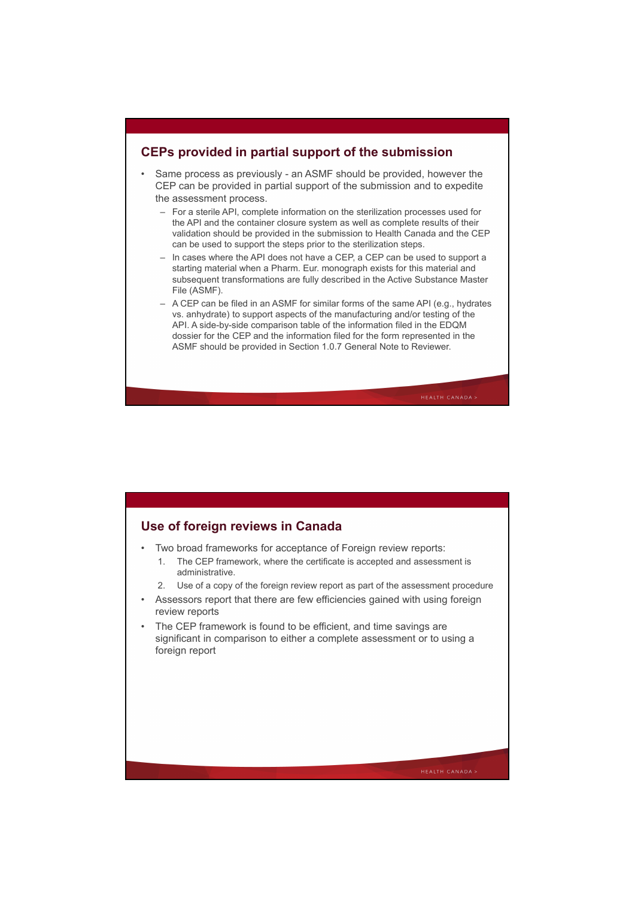# **CEPs provided in partial support of the submission**

- Same process as previously an ASMF should be provided, however the CEP can be provided in partial support of the submission and to expedite the assessment process.
	- For a sterile API, complete information on the sterilization processes used for the API and the container closure system as well as complete results of their validation should be provided in the submission to Health Canada and the CEP can be used to support the steps prior to the sterilization steps.
	- In cases where the API does not have a CEP, a CEP can be used to support a starting material when a Pharm. Eur. monograph exists for this material and subsequent transformations are fully described in the Active Substance Master File (ASMF).
	- A CEP can be filed in an ASMF for similar forms of the same API (e.g., hydrates vs. anhydrate) to support aspects of the manufacturing and/or testing of the API. A side-by-side comparison table of the information filed in the EDQM dossier for the CEP and the information filed for the form represented in the ASMF should be provided in Section 1.0.7 General Note to Reviewer.

# **Use of foreign reviews in Canada**

- Two broad frameworks for acceptance of Foreign review reports:
	- 1. The CEP framework, where the certificate is accepted and assessment is administrative.
	- 2. Use of a copy of the foreign review report as part of the assessment procedure
- Assessors report that there are few efficiencies gained with using foreign review reports
- The CEP framework is found to be efficient, and time savings are significant in comparison to either a complete assessment or to using a foreign report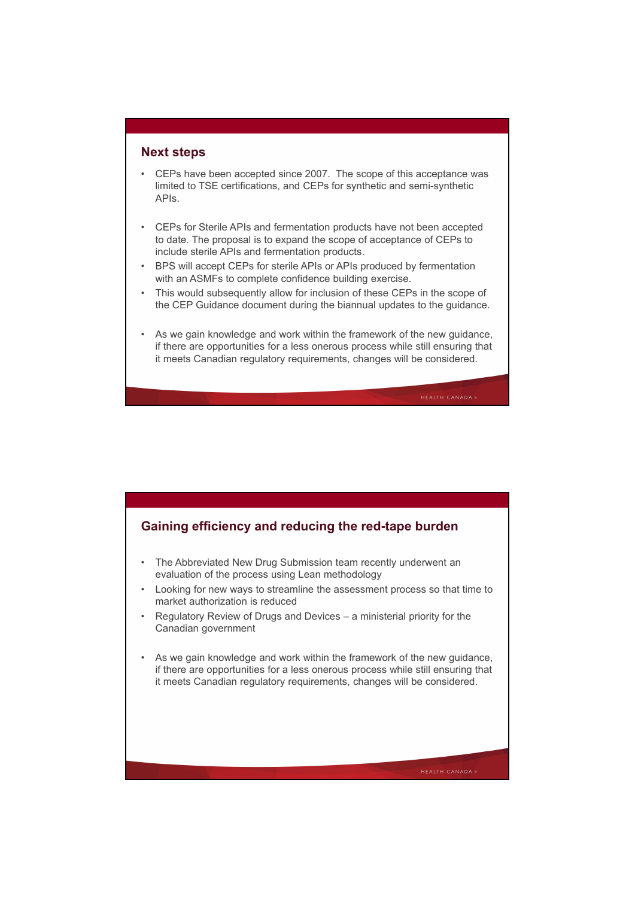# **Next steps**

- CEPs have been accepted since 2007. The scope of this acceptance was limited to TSE certifications, and CEPs for synthetic and semi-synthetic APIs.
- CEPs for Sterile APIs and fermentation products have not been accepted to date. The proposal is to expand the scope of acceptance of CEPs to include sterile APIs and fermentation products.
- BPS will accept CEPs for sterile APIs or APIs produced by fermentation with an ASMFs to complete confidence building exercise.
- This would subsequently allow for inclusion of these CEPs in the scope of the CEP Guidance document during the biannual updates to the guidance.
- As we gain knowledge and work within the framework of the new guidance, if there are opportunities for a less onerous process while still ensuring that it meets Canadian regulatory requirements, changes will be considered.